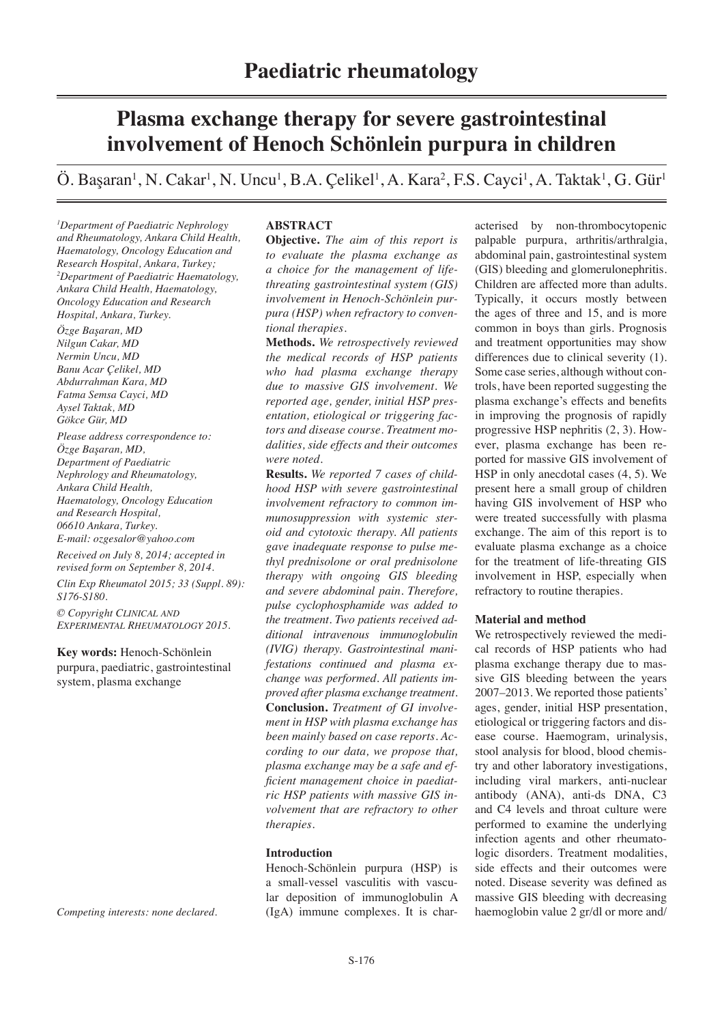# **Plasma exchange therapy for severe gastrointestinal involvement of Henoch Schönlein purpura in children**

Ö. Başaran<sup>1</sup>, N. Cakar<sup>1</sup>, N. Uncu<sup>1</sup>, B.A. Çelikel<sup>1</sup>, A. Kara<sup>2</sup>, F.S. Cayci<sup>1</sup>, A. Taktak<sup>1</sup>, G. Gür<sup>1</sup>

*1 Department of Paediatric Nephrology and Rheumatology, Ankara Child Health, Haematology, Oncology Education and Research Hospital, Ankara, Turkey; 2 Department of Paediatric Haematology, Ankara Child Health, Haematology, Oncology Education and Research Hospital, Ankara, Turkey.* 

*Özge Başaran, MD Nilgun Cakar, MD Nermin Uncu, MD Banu Acar Çelikel, MD Abdurrahman Kara, MD Fatma Semsa Cayci, MD Aysel Taktak, MD Gökce Gür, MD*

*Please address correspondence to: Özge Başaran, MD, Department of Paediatric Nephrology and Rheumatology, Ankara Child Health, Haematology, Oncology Education and Research Hospital, 06610 Ankara, Turkey. E-mail: ozgesalor@yahoo.com*

*Received on July 8, 2014; accepted in revised form on September 8, 2014.*

*Clin Exp Rheumatol 2015; 33 (Suppl. 89): S176-S180.*

*© Copyright Clinical and Experimental Rheumatology 2015.*

**Key words:** Henoch-Schönlein purpura, paediatric, gastrointestinal system, plasma exchange

*Competing interests: none declared.*

## **ABSTRACT**

**Objective.** *The aim of this report is to evaluate the plasma exchange as a choice for the management of lifethreating gastrointestinal system (GIS) involvement in Henoch-Schönlein purpura (HSP) when refractory to conventional therapies.*

**Methods.** *We retrospectively reviewed the medical records of HSP patients who had plasma exchange therapy due to massive GIS involvement. We reported age, gender, initial HSP presentation, etiological or triggering factors and disease course. Treatment modalities, side effects and their outcomes were noted.*

**Results.** *We reported 7 cases of childhood HSP with severe gastrointestinal involvement refractory to common immunosuppression with systemic steroid and cytotoxic therapy. All patients gave inadequate response to pulse methyl prednisolone or oral prednisolone therapy with ongoing GIS bleeding and severe abdominal pain. Therefore, pulse cyclophosphamide was added to the treatment. Two patients received additional intravenous immunoglobulin (IVIG) therapy. Gastrointestinal manifestations continued and plasma exchange was performed. All patients improved after plasma exchange treatment.* **Conclusion.** *Treatment of GI involvement in HSP with plasma exchange has been mainly based on case reports. According to our data, we propose that, plasma exchange may be a safe and efficient management choice in paediatric HSP patients with massive GIS involvement that are refractory to other therapies.*

# **Introduction**

Henoch-Schönlein purpura (HSP) is a small-vessel vasculitis with vascular deposition of immunoglobulin A (IgA) immune complexes. It is char-

acterised by non-thrombocytopenic palpable purpura, arthritis/arthralgia, abdominal pain, gastrointestinal system (GIS) bleeding and glomerulonephritis. Children are affected more than adults. Typically, it occurs mostly between the ages of three and 15, and is more common in boys than girls. Prognosis and treatment opportunities may show differences due to clinical severity (1). Some case series, although without controls, have been reported suggesting the plasma exchange's effects and benefits in improving the prognosis of rapidly progressive HSP nephritis (2, 3). However, plasma exchange has been reported for massive GIS involvement of HSP in only anecdotal cases (4, 5). We present here a small group of children having GIS involvement of HSP who were treated successfully with plasma exchange. The aim of this report is to evaluate plasma exchange as a choice for the treatment of life-threating GIS involvement in HSP, especially when refractory to routine therapies.

### **Material and method**

We retrospectively reviewed the medical records of HSP patients who had plasma exchange therapy due to massive GIS bleeding between the years 2007–2013. We reported those patients' ages, gender, initial HSP presentation, etiological or triggering factors and disease course. Haemogram, urinalysis, stool analysis for blood, blood chemistry and other laboratory investigations, including viral markers, anti-nuclear antibody (ANA), anti-ds DNA, C3 and C4 levels and throat culture were performed to examine the underlying infection agents and other rheumatologic disorders. Treatment modalities, side effects and their outcomes were noted. Disease severity was defined as massive GIS bleeding with decreasing haemoglobin value 2 gr/dl or more and/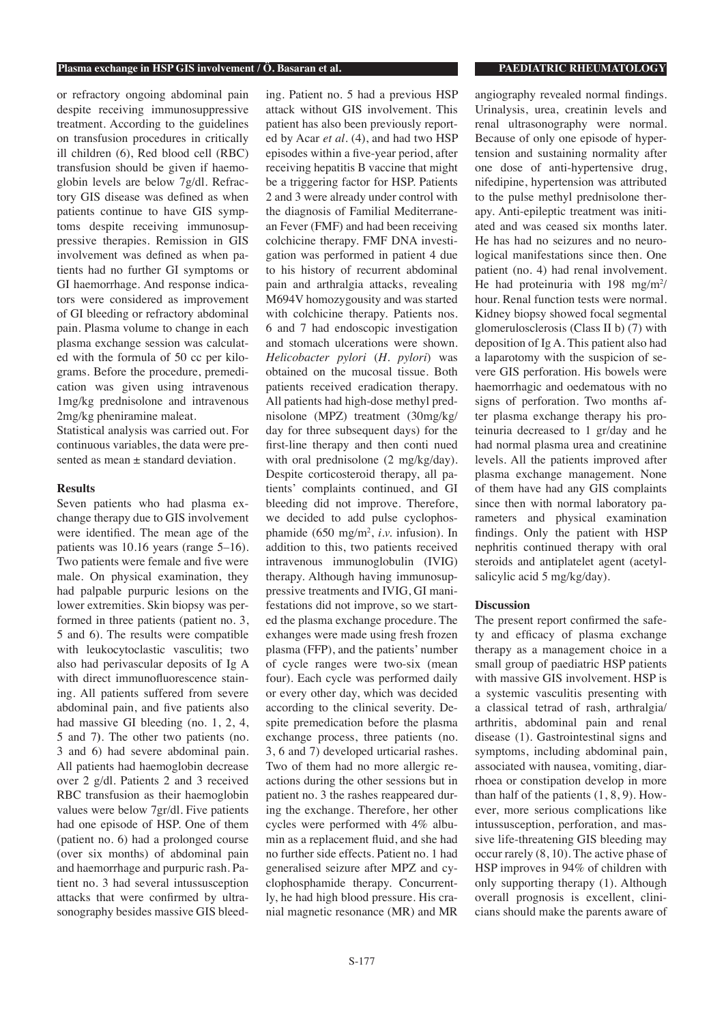#### **Plasma exchange in HSP GIS involvement / Ö. Basaran et al. PAEDIATRIC RHEUMATOLOGY**

or refractory ongoing abdominal pain despite receiving immunosuppressive treatment. According to the guidelines on transfusion procedures in critically ill children (6), Red blood cell (RBC) transfusion should be given if haemoglobin levels are below 7g/dl. Refractory GIS disease was defined as when patients continue to have GIS symptoms despite receiving immunosuppressive therapies. Remission in GIS involvement was defined as when patients had no further GI symptoms or GI haemorrhage. And response indicators were considered as improvement of GI bleeding or refractory abdominal pain. Plasma volume to change in each plasma exchange session was calculated with the formula of 50 cc per kilograms. Before the procedure, premedication was given using intravenous 1mg/kg prednisolone and intravenous 2mg/kg pheniramine maleat.

Statistical analysis was carried out. For continuous variables, the data were presented as mean  $\pm$  standard deviation.

### **Results**

Seven patients who had plasma exchange therapy due to GIS involvement were identified. The mean age of the patients was 10.16 years (range 5–16). Two patients were female and five were male. On physical examination, they had palpable purpuric lesions on the lower extremities. Skin biopsy was performed in three patients (patient no. 3, 5 and 6). The results were compatible with leukocytoclastic vasculitis; two also had perivascular deposits of Ig A with direct immunofluorescence staining. All patients suffered from severe abdominal pain, and five patients also had massive GI bleeding (no. 1, 2, 4, 5 and 7**)**. The other two patients (no. 3 and 6) had severe abdominal pain. All patients had haemoglobin decrease over 2 g/dl. Patients 2 and 3 received RBC transfusion as their haemoglobin values were below 7gr/dl. Five patients had one episode of HSP. One of them (patient no. 6) had a prolonged course (over six months) of abdominal pain and haemorrhage and purpuric rash. Patient no. 3 had several intussusception attacks that were confirmed by ultrasonography besides massive GIS bleeding. Patient no. 5 had a previous HSP attack without GIS involvement. This patient has also been previously reported by Acar *et al.* (4), and had two HSP episodes within a five-year period, after receiving hepatitis B vaccine that might be a triggering factor for HSP. Patients 2 and 3 were already under control with the diagnosis of Familial Mediterranean Fever (FMF) and had been receiving colchicine therapy. FMF DNA investigation was performed in patient 4 due to his history of recurrent abdominal pain and arthralgia attacks, revealing M694V homozygousity and was started with colchicine therapy. Patients nos. 6 and 7 had endoscopic investigation and stomach ulcerations were shown. *Helicobacter pylori* (*H. pylori*) was obtained on the mucosal tissue. Both patients received eradication therapy. All patients had high-dose methyl prednisolone (MPZ) treatment (30mg/kg/ day for three subsequent days) for the first-line therapy and then conti nued with oral prednisolone (2 mg/kg/day). Despite corticosteroid therapy, all patients' complaints continued, and GI bleeding did not improve. Therefore, we decided to add pulse cyclophosphamide (650 mg/m2 , *i.v.* infusion). In addition to this, two patients received intravenous immunoglobulin (IVIG) therapy. Although having immunosuppressive treatments and IVIG, GI manifestations did not improve, so we started the plasma exchange procedure. The exhanges were made using fresh frozen plasma (FFP), and the patients' number of cycle ranges were two-six (mean four). Each cycle was performed daily or every other day, which was decided according to the clinical severity. Despite premedication before the plasma exchange process, three patients (no. 3, 6 and 7) developed urticarial rashes. Two of them had no more allergic reactions during the other sessions but in patient no. 3 the rashes reappeared during the exchange. Therefore, her other cycles were performed with 4% albumin as a replacement fluid, and she had no further side effects. Patient no. 1 had generalised seizure after MPZ and cyclophosphamide therapy. Concurrently, he had high blood pressure. His cranial magnetic resonance (MR) and MR

angiography revealed normal findings. Urinalysis, urea, creatinin levels and renal ultrasonography were normal. Because of only one episode of hypertension and sustaining normality after one dose of anti-hypertensive drug, nifedipine, hypertension was attributed to the pulse methyl prednisolone therapy. Anti-epileptic treatment was initiated and was ceased six months later. He has had no seizures and no neurological manifestations since then. One patient (no. 4) had renal involvement. He had proteinuria with 198 mg/m<sup>2</sup>/ hour. Renal function tests were normal. Kidney biopsy showed focal segmental glomerulosclerosis (Class II b) (7) with deposition of Ig A. This patient also had a laparotomy with the suspicion of severe GIS perforation. His bowels were haemorrhagic and oedematous with no signs of perforation. Two months after plasma exchange therapy his proteinuria decreased to 1 gr/day and he had normal plasma urea and creatinine levels. All the patients improved after plasma exchange management. None of them have had any GIS complaints since then with normal laboratory parameters and physical examination findings. Only the patient with HSP nephritis continued therapy with oral steroids and antiplatelet agent (acetylsalicylic acid 5 mg/kg/day).

### **Discussion**

The present report confirmed the safety and efficacy of plasma exchange therapy as a management choice in a small group of paediatric HSP patients with massive GIS involvement. HSP is a systemic vasculitis presenting with a classical tetrad of rash, arthralgia/ arthritis, abdominal pain and renal disease (1). Gastrointestinal signs and symptoms, including abdominal pain, associated with nausea, vomiting, diarrhoea or constipation develop in more than half of the patients (1, 8, 9). However, more serious complications like intussusception, perforation, and massive life-threatening GIS bleeding may occur rarely (8, 10). The active phase of HSP improves in 94% of children with only supporting therapy (1). Although overall prognosis is excellent, clinicians should make the parents aware of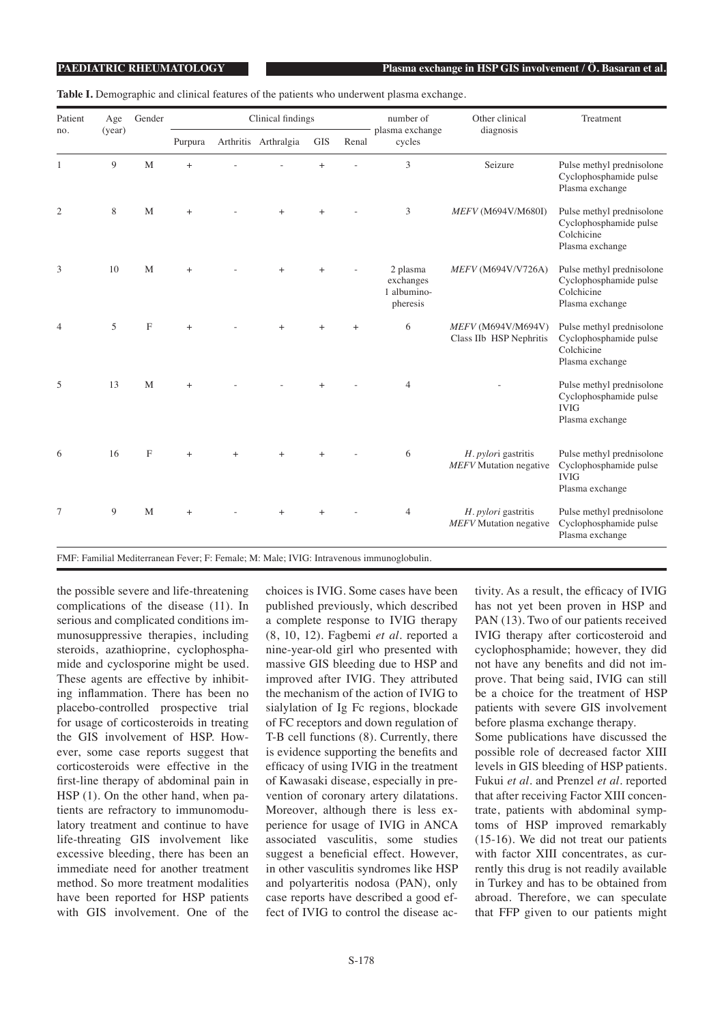**Table I.** Demographic and clinical features of the patients who underwent plasma exchange.

| Patient<br>no. | Age<br>(year) | Gender       | Clinical findings |           |                      |            |       | number of                                        | Other clinical                                       | Treatment                                                                             |
|----------------|---------------|--------------|-------------------|-----------|----------------------|------------|-------|--------------------------------------------------|------------------------------------------------------|---------------------------------------------------------------------------------------|
|                |               |              | Purpura           |           | Arthritis Arthralgia | <b>GIS</b> | Renal | plasma exchange<br>cycles                        | diagnosis                                            |                                                                                       |
| 1              | 9             | M            | $^{+}$            |           |                      | $\ddot{}$  |       | 3                                                | Seizure                                              | Pulse methyl prednisolone<br>Cyclophosphamide pulse<br>Plasma exchange                |
| $\overline{2}$ | 8             | M            | $\ddot{}$         |           | $+$                  | $^{+}$     |       | 3                                                | MEFV (M694V/M680I)                                   | Pulse methyl prednisolone<br>Cyclophosphamide pulse<br>Colchicine<br>Plasma exchange  |
| 3              | 10            | M            | $^{+}$            |           | $+$                  |            |       | 2 plasma<br>exchanges<br>1 albumino-<br>pheresis | MEFV (M694V/V726A)                                   | Pulse methyl prednisolone<br>Cyclophosphamide pulse<br>Colchicine<br>Plasma exchange  |
| $\overline{4}$ | 5             | $\mathbf{F}$ | $^{+}$            |           |                      |            | $+$   | 6                                                | MEFV (M694V/M694V)<br>Class IIb HSP Nephritis        | Pulse methyl prednisolone<br>Cyclophosphamide pulse<br>Colchicine<br>Plasma exchange  |
| 5              | 13            | M            | $^{+}$            |           |                      |            |       | $\overline{4}$                                   |                                                      | Pulse methyl prednisolone<br>Cyclophosphamide pulse<br><b>IVIG</b><br>Plasma exchange |
| 6              | 16            | $\mathbf{F}$ | $+$               | $\ddot{}$ | $\ddot{}$            |            |       | 6                                                | H. pylori gastritis<br><b>MEFV</b> Mutation negative | Pulse methyl prednisolone<br>Cyclophosphamide pulse<br><b>IVIG</b><br>Plasma exchange |
| $\tau$         | 9             | M            | $^{+}$            |           | $^{+}$               | $^{+}$     |       | $\overline{4}$                                   | H. pylori gastritis<br>MEFV Mutation negative        | Pulse methyl prednisolone<br>Cyclophosphamide pulse<br>Plasma exchange                |

FMF: Familial Mediterranean Fever; F: Female; M: Male; IVIG: Intravenous immunoglobulin.

the possible severe and life-threatening complications of the disease (11). In serious and complicated conditions immunosuppressive therapies, including steroids, azathioprine, cyclophosphamide and cyclosporine might be used. These agents are effective by inhibiting inflammation. There has been no placebo-controlled prospective trial for usage of corticosteroids in treating the GIS involvement of HSP. However, some case reports suggest that corticosteroids were effective in the first-line therapy of abdominal pain in HSP (1). On the other hand, when patients are refractory to immunomodulatory treatment and continue to have life-threating GIS involvement like excessive bleeding, there has been an immediate need for another treatment method. So more treatment modalities have been reported for HSP patients with GIS involvement. One of the

choices is IVIG. Some cases have been published previously, which described a complete response to IVIG therapy (8, 10, 12). Fagbemi *et al.* reported a nine-year-old girl who presented with massive GIS bleeding due to HSP and improved after IVIG. They attributed the mechanism of the action of IVIG to sialylation of Ig Fc regions, blockade of FC receptors and down regulation of T-B cell functions (8). Currently, there is evidence supporting the benefits and efficacy of using IVIG in the treatment of Kawasaki disease, especially in prevention of coronary artery dilatations. Moreover, although there is less experience for usage of IVIG in ANCA associated vasculitis, some studies suggest a beneficial effect. However, in other vasculitis syndromes like HSP and polyarteritis nodosa (PAN), only case reports have described a good effect of IVIG to control the disease ac-

tivity. As a result, the efficacy of IVIG has not yet been proven in HSP and PAN (13). Two of our patients received IVIG therapy after corticosteroid and cyclophosphamide; however, they did not have any benefits and did not improve. That being said, IVIG can still be a choice for the treatment of HSP patients with severe GIS involvement before plasma exchange therapy. Some publications have discussed the possible role of decreased factor XIII levels in GIS bleeding of HSP patients. Fukui *et al.* and Prenzel *et al.* reported that after receiving Factor XIII concentrate, patients with abdominal symptoms of HSP improved remarkably (15-16). We did not treat our patients

with factor XIII concentrates, as currently this drug is not readily available in Turkey and has to be obtained from abroad. Therefore, we can speculate that FFP given to our patients might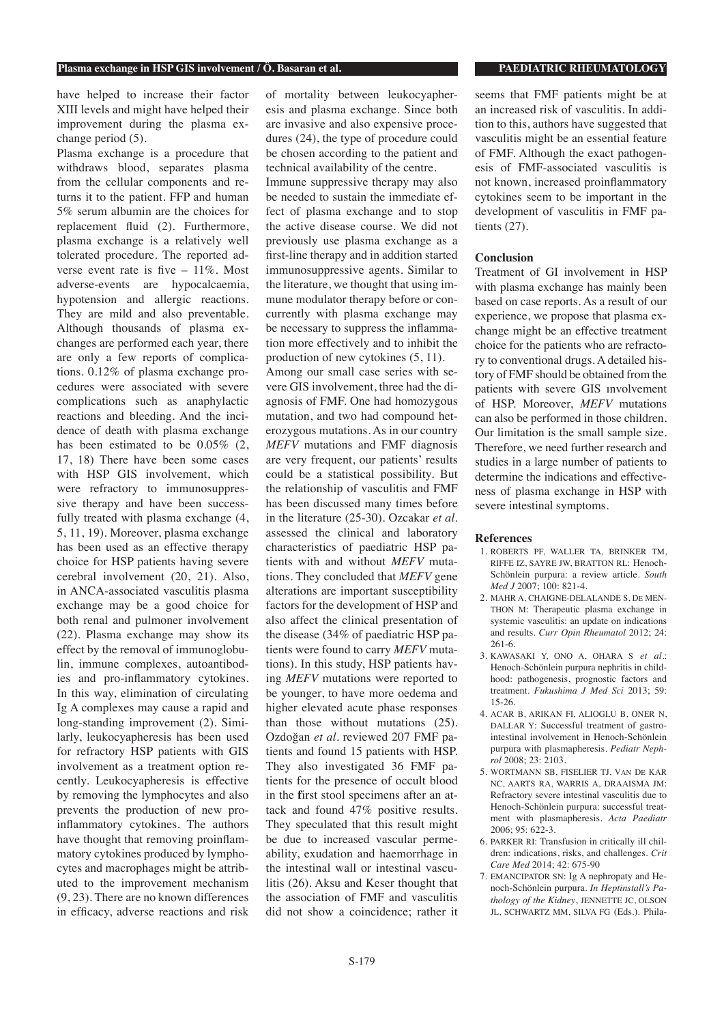have helped to increase their factor XIII levels and might have helped their improvement during the plasma exchange period (5).

Plasma exchange is a procedure that withdraws blood, separates plasma from the cellular components and returns it to the patient. FFP and human 5% serum albumin are the choices for replacement fluid (2). Furthermore, plasma exchange is a relatively well tolerated procedure. The reported adverse event rate is five  $-11\%$ . Most adverse-events are hypocalcaemia, hypotension and allergic reactions. They are mild and also preventable. Although thousands of plasma exchanges are performed each year, there are only a few reports of complications. 0.12% of plasma exchange procedures were associated with severe complications such as anaphylactic reactions and bleeding. And the incidence of death with plasma exchange has been estimated to be  $0.05\%$  (2, 17, 18) There have been some cases with HSP GIS involvement, which were refractory to immunosuppressive therapy and have been successfully treated with plasma exchange (4, 5, 11, 19). Moreover, plasma exchange has been used as an effective therapy choice for HSP patients having severe cerebral involvement (20, 21). Also, in ANCA-associated vasculitis plasma exchange may be a good choice for both renal and pulmoner involvement (22). Plasma exchange may show its effect by the removal of immunoglobulin, immune complexes, autoantibodies and pro-inflammatory cytokines. In this way, elimination of circulating Ig A complexes may cause a rapid and long-standing improvement (2). Similarly, leukocyapheresis has been used for refractory HSP patients with GIS involvement as a treatment option recently. Leukocyapheresis is effective by removing the lymphocytes and also prevents the production of new proinflammatory cytokines. The authors have thought that removing proinflammatory cytokines produced by lymphocytes and macrophages might be attributed to the improvement mechanism (9, 23). There are no known differences in efficacy, adverse reactions and risk

of mortality between leukocyapheresis and plasma exchange. Since both are invasive and also expensive procedures (24), the type of procedure could be chosen according to the patient and technical availability of the centre.

Immune suppressive therapy may also be needed to sustain the immediate effect of plasma exchange and to stop the active disease course. We did not previously use plasma exchange as a first-line therapy and in addition started immunosuppressive agents. Similar to the literature, we thought that using immune modulator therapy before or concurrently with plasma exchange may be necessary to suppress the inflammation more effectively and to inhibit the production of new cytokines (5, 11).

Among our small case series with severe GIS involvement, three had the diagnosis of FMF. One had homozygous mutation, and two had compound heterozygous mutations. As in our country *MEFV* mutations and FMF diagnosis are very frequent, our patients' results could be a statistical possibility. But the relationship of vasculitis and FMF has been discussed many times before in the literature (25-30). Ozcakar *et al.*  assessed the clinical and laboratory characteristics of paediatric HSP patients with and without *MEFV* mutations. They concluded that *MEFV* gene alterations are important susceptibility factors for the development of HSP and also affect the clinical presentation of the disease (34% of paediatric HSP patients were found to carry *MEFV* mutations). In this study, HSP patients having *MEFV* mutations were reported to be younger, to have more oedema and higher elevated acute phase responses than those without mutations (25). Ozdoğan *et al.* reviewed 207 FMF patients and found 15 patients with HSP. They also investigated 36 FMF patients for the presence of occult blood in the **f**irst stool specimens after an attack and found 47% positive results. They speculated that this result might be due to increased vascular permeability, exudation and haemorrhage in the intestinal wall or intestinal vasculitis (26). Aksu and Keser thought that the association of FMF and vasculitis did not show a coincidence; rather it

seems that FMF patients might be at an increased risk of vasculitis. In addition to this, authors have suggested that vasculitis might be an essential feature of FMF. Although the exact pathogenesis of FMF-associated vasculitis is not known, increased proinflammatory cytokines seem to be important in the development of vasculitis in FMF patients (27).

### **Conclusion**

Treatment of GI involvement in HSP with plasma exchange has mainly been based on case reports. As a result of our experience, we propose that plasma exchange might be an effective treatment choice for the patients who are refractory to conventional drugs. A detailed history of FMF should be obtained from the patients with severe GIS ınvolvement of HSP. Moreover, *MEFV* mutations can also be performed in those children. Our limitation is the small sample size. Therefore, we need further research and studies in a large number of patients to determine the indications and effectiveness of plasma exchange in HSP with severe intestinal symptoms.

#### **References**

- 1. ROBERTS PF, WALLER TA, BRINKER TM, RIFFE IZ, SAYRE JW, BRATTON RL: Henoch-Schönlein purpura: a review article. *South Med J* 2007; 100: 821-4.
- 2. MAHR A, CHAIGNE-DELALANDE S, De MEN-THON M: Therapeutic plasma exchange in systemic vasculitis: an update on indications and results. *Curr Opin Rheumatol* 2012; 24: 261-6.
- 3. KAWASAKI Y, ONO A, OHARA S *et al.*: Henoch-Schönlein purpura nephritis in childhood: pathogenesis, prognostic factors and treatment. *Fukushima J Med Sci* 2013; 59: 15-26.
- 4. ACAR B, ARIKAN FI, ALIOGLU B, ONER N, DALLAR Y: Successful treatment of gastrointestinal involvement in Henoch-Schönlein purpura with plasmapheresis. *Pediatr Nephrol* 2008; 23: 2103.
- 5. WORTMANN SB, FISELIER TJ, Van De KAR NC, AARTS RA, WARRIS A, DRAAISMA JM: Refractory severe intestinal vasculitis due to Henoch-Schönlein purpura: successful treatment with plasmapheresis. *Acta Paediatr* 2006; 95: 622-3.
- 6. PARKER RI: Transfusion in critically ill children: indications, risks, and challenges. *Crit Care Med* 2014; 42: 675-90
- 7. EMANCIPATOR SN: Ig A nephropaty and Henoch-Schönlein purpura. *In Heptinstall's Pathology of the Kidney*, JENNETTE JC, OLSON JL, SCHWARTZ MM, SILVA FG (Eds.). Phila-